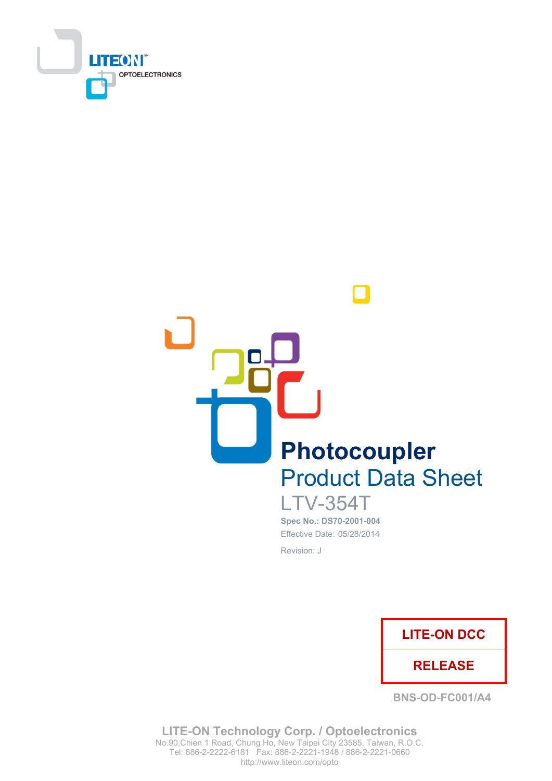



**LTV-354T** Spec No.: DS70-2001-004 Effective Date: 05/28/2014 Revision: J



**BNS-OD-FC001/A4** 

**LITE-ON Technology Corp. / Optoelectronics** No.90, Chien 1 Road, Chung Ho, New Taipei City 23585, Taiwan, R.O.C. Tel: 886-2-2222-6181 Fax: 886-2-2221-1948 / 886-2-2221-0660 http://www.liteon.com/opto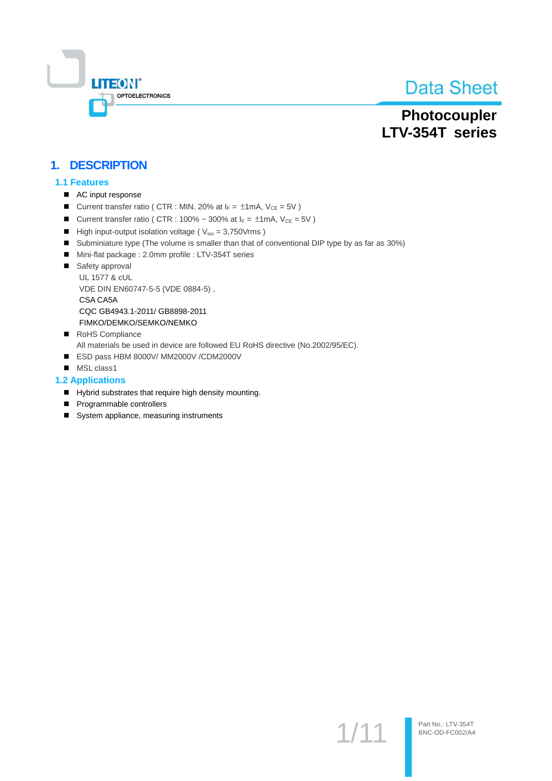

# Photocoupler LTV-354T series

## 1. DESCRIPTION

#### **1.1 Features**

- AC input response
- Current transfer ratio ( CTR : MIN. 20% at  $I_F = \pm 1$  mA,  $V_{CE} = 5V$  )
- Current transfer ratio ( CTR : 100% ~ 300% at  $I_F = \pm 1$ mA,  $V_{CE} = 5V$  )
- High input-output isolation voltage ( $V_{iso} = 3,750V$ rms)
- Subminiature type (The volume is smaller than that of conventional DIP type by as far as 30%)
- Mini-flat package: 2.0mm profile: LTV-354T series
- Safety approval UL 1577 & cUL VDE DIN EN60747-5-5 (VDE 0884-5), CSA CA5A CQC GB4943.1-2011/ GB8898-2011 FIMKO/DEMKO/SEMKO/NEMKO
- RoHS Compliance
	- All materials be used in device are followed EU RoHS directive (No.2002/95/EC).
- ESD pass HBM 8000V/ MM2000V /CDM2000V
- MSL class1

#### **1.2 Applications**

- Hybrid substrates that require high density mounting.
- Programmable controllers
- System appliance, measuring instruments

 $1/1$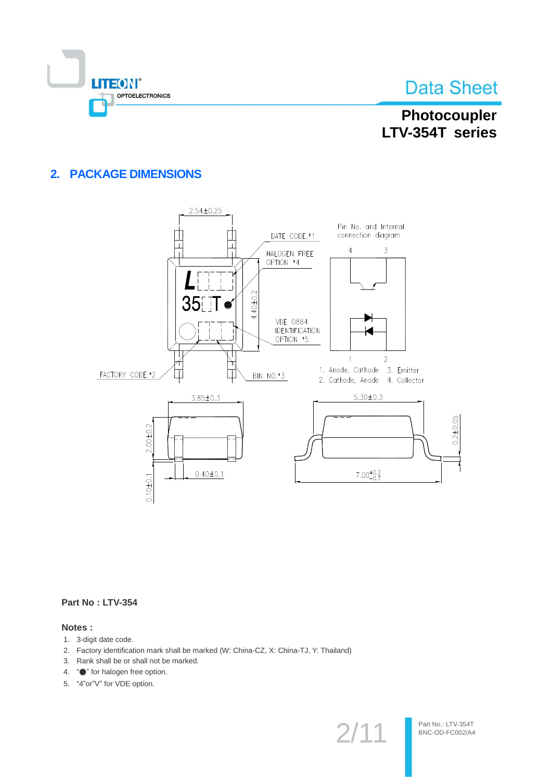

# Photocoupler LTV-354T series

## 2. PACKAGE DIMENSIONS



#### Part No: LTV-354

#### Notes:

- 1. 3-digit date code.
- 2. Factory identification mark shall be marked (W: China-CZ, X: China-TJ, Y: Thailand)
- 3. Rank shall be or shall not be marked.
- 4. "• for halogen free option.
- 5. "4"or"V" for VDE option.

 $2/1$ <sup>.</sup>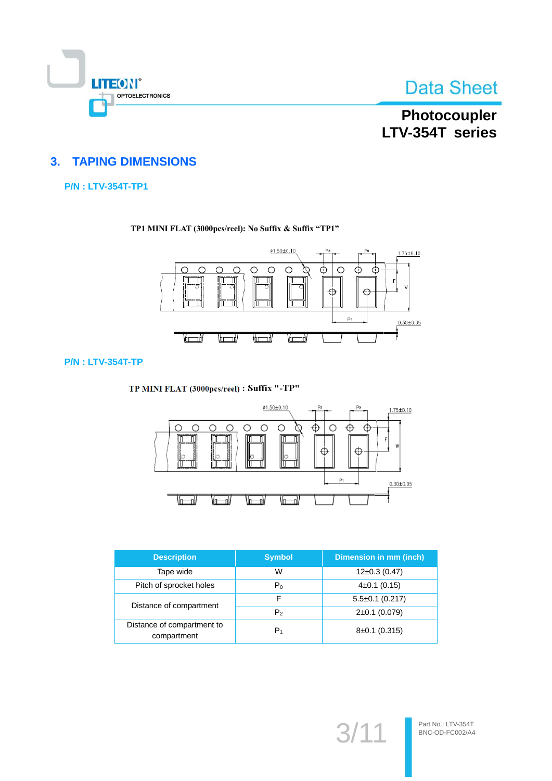

# Photocoupler LTV-354T series

## **3. TAPING DIMENSIONS**

#### **P/N: LTV-354T-TP1**

#### TP1 MINI FLAT (3000pcs/reel): No Suffix & Suffix "TP1"



#### **P/N: LTV-354T-TP**

TP MINI FLAT (3000pcs/reel) : Suffix "-TP"



| <b>Description</b>                        | <b>Symbol</b>  | Dimension in mm (inch) |
|-------------------------------------------|----------------|------------------------|
| Tape wide                                 | W              | $12\pm0.3(0.47)$       |
| Pitch of sprocket holes                   | $P_0$          | $4\pm0.1$ (0.15)       |
| Distance of compartment                   | F              | $5.5\pm0.1$ (0.217)    |
|                                           | P <sub>2</sub> | $2\pm0.1$ (0.079)      |
| Distance of compartment to<br>compartment | $P_1$          | $8\pm0.1$ (0.315)      |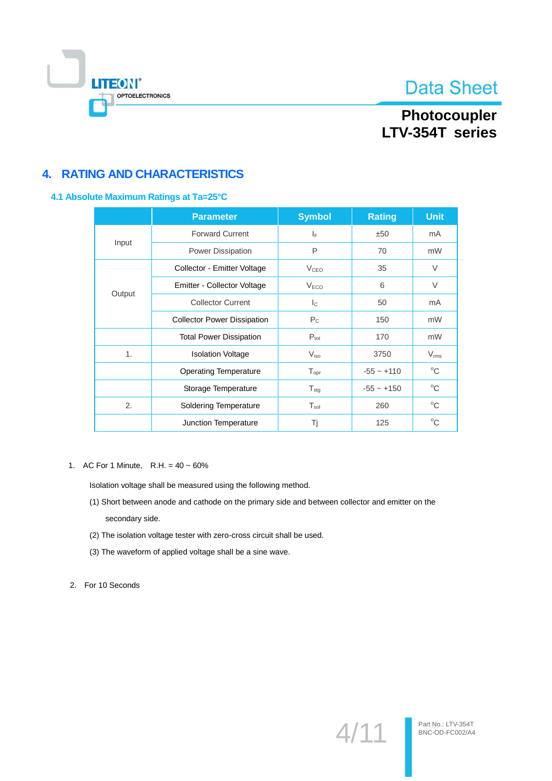

# Photocoupler LTV-354T series

# **4. RATING AND CHARACTERISTICS**

#### 4.1 Absolute Maximum Ratings at Ta=25°C

|                                    | <b>Parameter</b>               | <b>Symbol</b>             | <b>Rating</b> | <b>Unit</b>   |
|------------------------------------|--------------------------------|---------------------------|---------------|---------------|
| <b>Forward Current</b>             |                                | IF.                       | ±50           | mA            |
| Input                              | Power Dissipation              | P                         | 70            | mW            |
|                                    | Collector - Emitter Voltage    | V <sub>CEO</sub>          | 35            | $\vee$        |
|                                    | Emitter - Collector Voltage    | V <sub>ECO</sub>          | 6             | $\vee$        |
| Output                             | <b>Collector Current</b>       | $\mathsf{I}_{\mathsf{C}}$ | 50            | mA            |
| <b>Collector Power Dissipation</b> |                                | $P_{C}$                   | 150           | mW            |
|                                    | <b>Total Power Dissipation</b> | $P_{\text{tot}}$          | 170           | mW            |
| 1.                                 | <b>Isolation Voltage</b>       | $V_{\rm iso}$             | 3750          | $V_{\rm rms}$ |
|                                    | <b>Operating Temperature</b>   | $T_{\text{opr}}$          | $-55 - +110$  | $^{\circ}C$   |
|                                    | Storage Temperature            | $\mathsf{T}_{\text{stg}}$ | $-55 - +150$  | $^{\circ}$ C  |
| 2.                                 | <b>Soldering Temperature</b>   | $T_{sol}$                 | 260           | $^{\circ}C$   |
|                                    | Junction Temperature           | Τj                        | 125           | $^{\circ}C$   |

1. AC For 1 Minute, R.H. =  $40 \sim 60\%$ 

Isolation voltage shall be measured using the following method.

- (1) Short between anode and cathode on the primary side and between collector and emitter on the secondary side.
- (2) The isolation voltage tester with zero-cross circuit shall be used.
- (3) The waveform of applied voltage shall be a sine wave.

2. For 10 Seconds

 $4/11$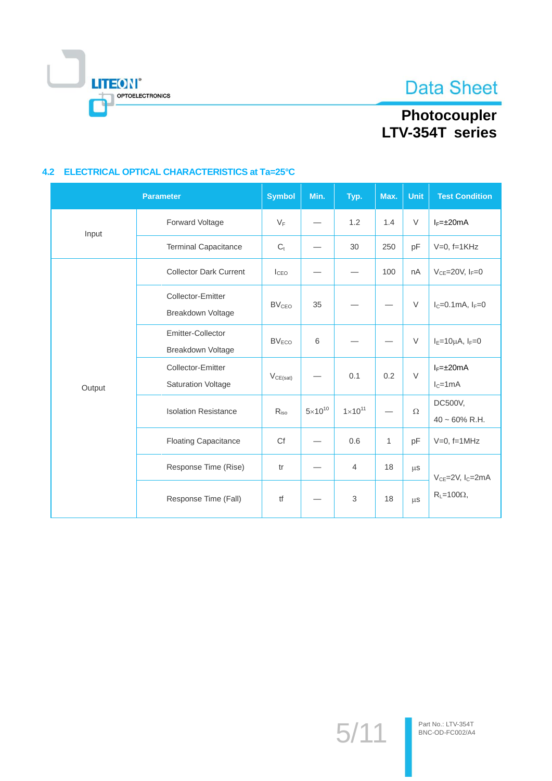

# Photocoupler<br>LTV-354T series

#### 4.2 ELECTRICAL OPTICAL CHARACTERISTICS at Ta=25°C

|        | <b>Parameter</b>                               | <b>Symbol</b>     | Min.             | Typ.                      | Max.         | <b>Unit</b> | <b>Test Condition</b>          |
|--------|------------------------------------------------|-------------------|------------------|---------------------------|--------------|-------------|--------------------------------|
| Input  | Forward Voltage                                | $V_F$             |                  | 1.2                       | 1.4          | $\vee$      | $I_F = \pm 20$ mA              |
|        | <b>Terminal Capacitance</b>                    | $C_{t}$           |                  | 30                        | 250          | pF          | $V=0$ , f=1KHz                 |
| Output | <b>Collector Dark Current</b>                  | I <sub>CEO</sub>  |                  |                           | 100          | nA          | $V_{CE}$ =20V, $I_F$ =0        |
|        | Collector-Emitter<br>Breakdown Voltage         | BV <sub>CEO</sub> | 35               |                           |              | $\vee$      | $I_c = 0.1$ mA, $I_F = 0$      |
|        | Emitter-Collector<br>Breakdown Voltage         | BV <sub>ECO</sub> | 6                |                           |              | $\vee$      | $I_E=10\mu A$ , $I_F=0$        |
|        | Collector-Emitter<br><b>Saturation Voltage</b> | $V_{CE(sat)}$     |                  | 0.1                       | 0.2          | $\vee$      | $I_F = \pm 20$ mA<br>$IC=1mA$  |
|        | <b>Isolation Resistance</b>                    | R <sub>iso</sub>  | $5\times10^{10}$ | $1 \times 10^{11}$        |              | $\Omega$    | DC500V,<br>$40 \sim 60\%$ R.H. |
|        | <b>Floating Capacitance</b>                    | Cf                |                  | 0.6                       | $\mathbf{1}$ | pF          | $V=0$ , f=1MHz                 |
|        | Response Time (Rise)                           | tr                |                  | $\overline{4}$            | 18           | $\mu$ S     | $V_{CE} = 2V$ , $I_C = 2mA$    |
|        | Response Time (Fall)                           | tf                |                  | $\ensuremath{\mathsf{3}}$ | 18           | $\mu$ S     | $R_L = 100\Omega$ ,            |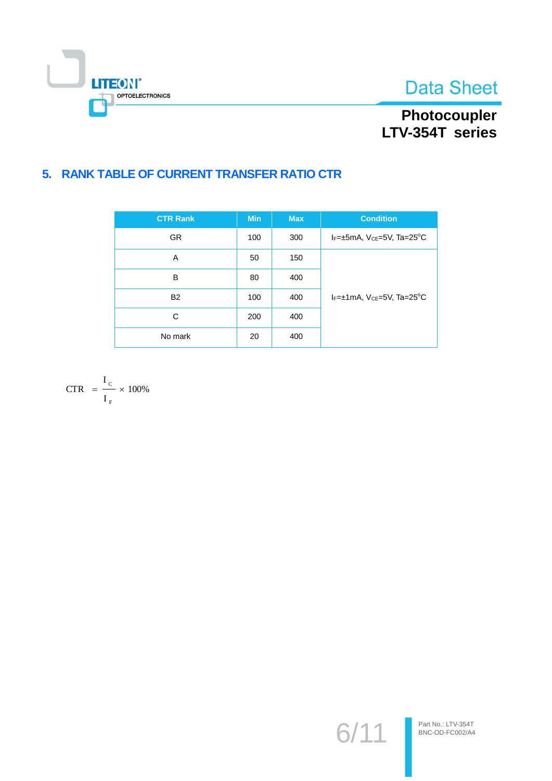



# Photocoupler<br>LTV-354T series

# 5. RANK TABLE OF CURRENT TRANSFER RATIO CTR

| <b>CTR Rank</b> | <b>Min</b> | <b>Max</b> | <b>Condition</b>                                       |
|-----------------|------------|------------|--------------------------------------------------------|
| <b>GR</b>       | 100        | 300        | $I_F = \pm 5$ mA, $V_{CE} = 5V$ , Ta=25 <sup>°</sup> C |
| A               | 50         | 150        |                                                        |
| B               | 80         | 400        |                                                        |
| <b>B2</b>       | 100        | 400        | $I_F = \pm 1$ mA, $V_{CE} = 5V$ , Ta=25 <sup>°</sup> C |
| C               | 200        | 400        |                                                        |
| No mark         | 20         | 400        |                                                        |

$$
CTR = \frac{I_c}{I_F} \times 100\%
$$

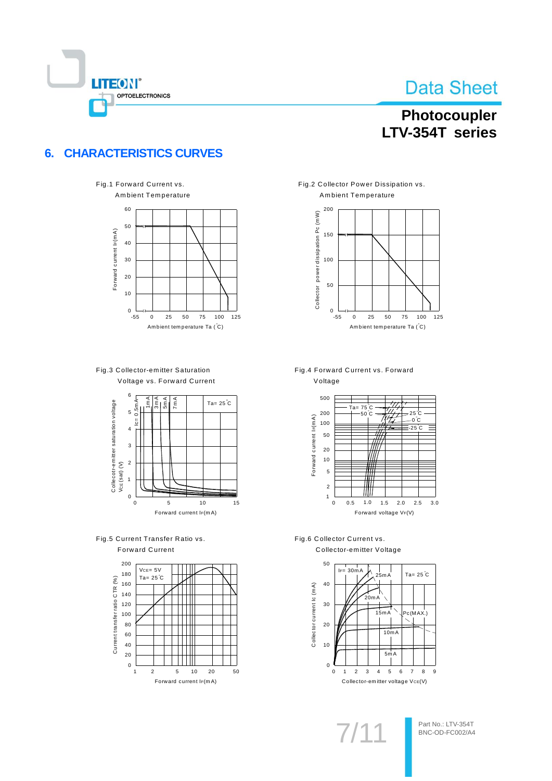

# Photocoupler LTV-354T series

#### **CHARACTERISTICS CURVES**  $6.$

 $\mathbf{0}$ 

 $-55$ 



 $\Omega$ 25 50 75  $100$ Ambient temperature Ta (°C)

125









Fig.2 Collector Power Dissipation vs. Ambient Temperature



Fig.4 Forward Current vs. Forward Voltage



Fig.6 Collector Current vs. Collector-emitter Voltage

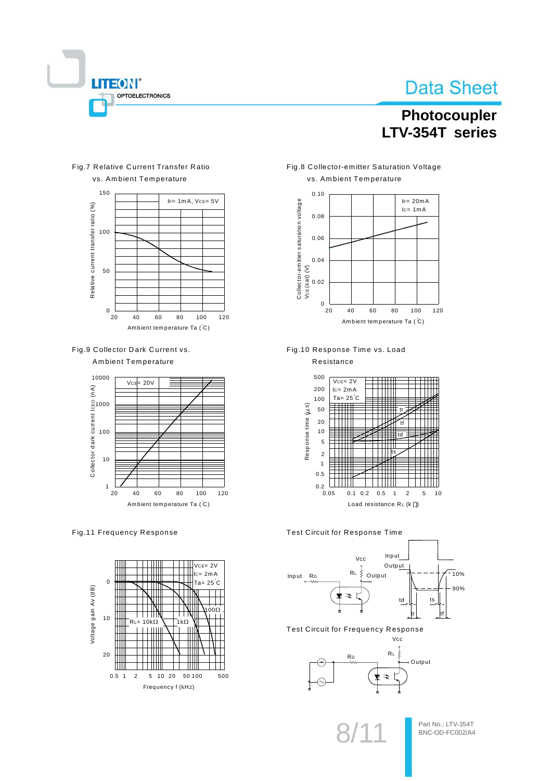

# Photocoupler LTV-354T series

#### Fig.7 Relative Current Transfer Ratio vs. Ambient Temperature



Fig.9 Collector Dark Current vs.

**Ambient Temperature** 



#### Fig.11 Frequency Response



Fig.8 Collector-emitter Saturation Voltage vs. Ambient Temperature



Fig.10 Response Time vs. Load



#### Test Circuit for Response Time



**Test Circuit for Frequency Response** 



Part No.: LTV-354T BNC-OD-FC002/A4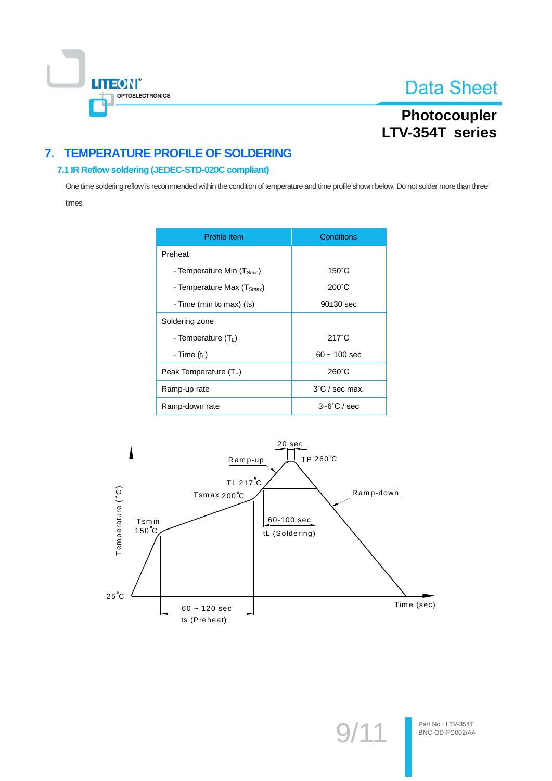

# Photocoupler LTV-354T series

# 7. TEMPERATURE PROFILE OF SOLDERING

#### 7.1 IR Reflow soldering (JEDEC-STD-020C compliant)

One time soldering reflow is recommended within the condition of temperature and time profile shown below. Do not solder more than three times.

| Profile item                          | Conditions               |
|---------------------------------------|--------------------------|
| Preheat                               |                          |
| - Temperature Min $(T_{smin})$        | $150^{\circ}$ C          |
| - Temperature Max $(T_{\text{Smax}})$ | $200^{\circ}$ C          |
| - Time (min to max) (ts)              | $90\pm30$ sec            |
| Soldering zone                        |                          |
| - Temperature $(T_1)$                 | $217^\circ C$            |
| - Time $(tL)$                         | $60 - 100$ sec           |
| Peak Temperature (T <sub>P</sub> )    | $260^{\circ}$ C          |
| Ramp-up rate                          | $3^{\circ}$ C / sec max. |
| Ramp-down rate                        | $3 - 6^\circ$ C / sec    |

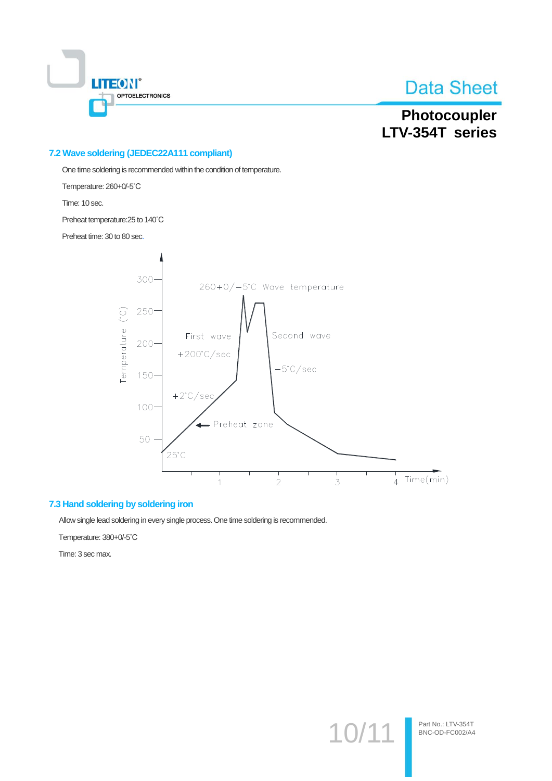

# Photocoupler LTV-354T series

#### 7.2 Wave soldering (JEDEC22A111 compliant)

One time soldering is recommended within the condition of temperature.

Temperature: 260+0/-5°C

Time: 10 sec.

Preheat temperature: 25 to 140°C

Preheat time: 30 to 80 sec.



#### 7.3 Hand soldering by soldering iron

Allow single lead soldering in every single process. One time soldering is recommended.

Temperature: 380+0/-5°C

Time: 3 sec max.